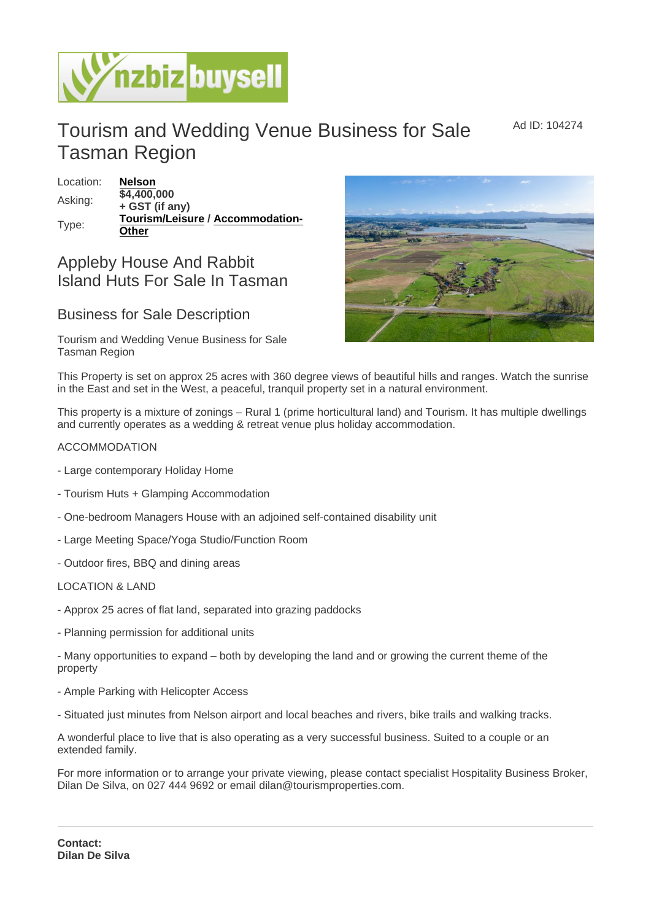Ad ID: 104274

# Tourism and Wedding Venue Business for Sale Tasman Region

Location: [Nelson](https://www.nzbizbuysell.co.nz/businesses-for-sale/location/Nelson) Asking:  $\sqrt{$4,400,000}$ + GST (if any) Type: [Tourism/Leisure](https://www.nzbizbuysell.co.nz/businesses-for-sale/Tourism--Leisure/New-Zealand) / [Accommodation-](https://www.nzbizbuysell.co.nz/businesses-for-sale/Accommodation-Other/New-Zealand)**[Other](https://www.nzbizbuysell.co.nz/businesses-for-sale/Accommodation-Other/New-Zealand)** 

## Appleby House And Rabbit Island Huts For Sale In Tasman

## Business for Sale Description

Tourism and Wedding Venue Business for Sale Tasman Region

This Property is set on approx 25 acres with 360 degree views of beautiful hills and ranges. Watch the sunrise in the East and set in the West, a peaceful, tranquil property set in a natural environment.

This property is a mixture of zonings – Rural 1 (prime horticultural land) and Tourism. It has multiple dwellings and currently operates as a wedding & retreat venue plus holiday accommodation.

### ACCOMMODATION

- Large contemporary Holiday Home
- Tourism Huts + Glamping Accommodation
- One-bedroom Managers House with an adjoined self-contained disability unit
- Large Meeting Space/Yoga Studio/Function Room
- Outdoor fires, BBQ and dining areas

### LOCATION & LAND

- Approx 25 acres of flat land, separated into grazing paddocks
- Planning permission for additional units

- Many opportunities to expand – both by developing the land and or growing the current theme of the property

- Ample Parking with Helicopter Access
- Situated just minutes from Nelson airport and local beaches and rivers, bike trails and walking tracks.

A wonderful place to live that is also operating as a very successful business. Suited to a couple or an extended family.

For more information or to arrange your private viewing, please contact specialist Hospitality Business Broker, Dilan De Silva, on 027 444 9692 or email dilan@tourismproperties.com.